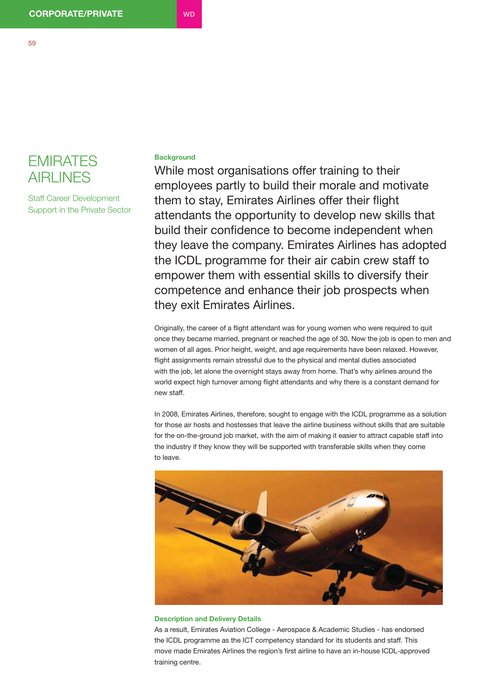

Staff Career Development Support in the Private Sector

## **Background**

While most organisations offer training to their employees partly to build their morale and motivate them to stay, Emirates Airlines offer their flight attendants the opportunity to develop new skills that build their confidence to become independent when they leave the company. Emirates Airlines has adopted the ICDL programme for their air cabin crew staff to empower them with essential skills to diversify their competence and enhance their job prospects when they exit Emirates Airlines.

Originally, the career of a flight attendant was for young women who were required to quit once they became married, pregnant or reached the age of 30. Now the job is open to men and women of all ages. Prior height, weight, and age requirements have been relaxed. However, flight assignments remain stressful due to the physical and mental duties associated with the job, let alone the overnight stays away from home. That's why airlines around the world expect high turnover among flight attendants and why there is a constant demand for new staff.

In 2008, Emirates Airlines, therefore, sought to engage with the ICDL programme as a solution for those air hosts and hostesses that leave the airline business without skills that are suitable for the on-the-ground job market, with the aim of making it easier to attract capable staff into the industry if they know they will be supported with transferable skills when they come to leave.



## **Description and Delivery Details**

As a result, Emirates Aviation College - Aerospace & Academic Studies - has endorsed the ICDL programme as the ICT competency standard for its students and staff. This move made Emirates Airlines the region's first airline to have an in-house ICDL-approved training centre.